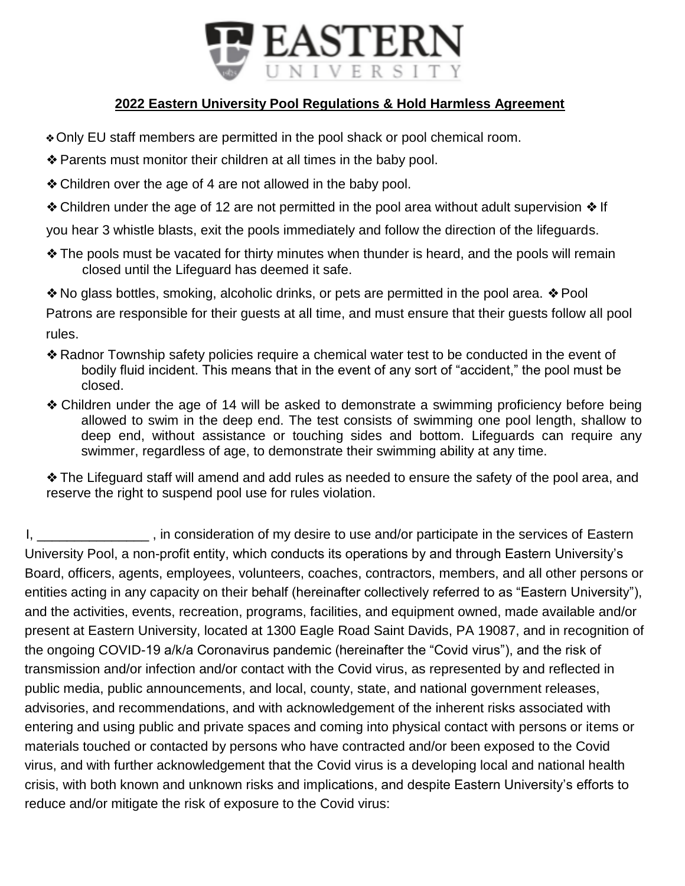

## **2022 Eastern University Pool Regulations & Hold Harmless Agreement**

- ❖Only EU staff members are permitted in the pool shack or pool chemical room.
- ❖Parents must monitor their children at all times in the baby pool.
- ❖Children over the age of 4 are not allowed in the baby pool.
- ❖Children under the age of 12 are not permitted in the pool area without adult supervision ❖ If

you hear 3 whistle blasts, exit the pools immediately and follow the direction of the lifeguards.

- ❖The pools must be vacated for thirty minutes when thunder is heard, and the pools will remain closed until the Lifeguard has deemed it safe.
- ❖No glass bottles, smoking, alcoholic drinks, or pets are permitted in the pool area. ❖ Pool

Patrons are responsible for their guests at all time, and must ensure that their guests follow all pool rules.

- ❖Radnor Township safety policies require a chemical water test to be conducted in the event of bodily fluid incident. This means that in the event of any sort of "accident," the pool must be closed.
- ❖ Children under the age of 14 will be asked to demonstrate a swimming proficiency before being allowed to swim in the deep end. The test consists of swimming one pool length, shallow to deep end, without assistance or touching sides and bottom. Lifeguards can require any swimmer, regardless of age, to demonstrate their swimming ability at any time.

❖The Lifeguard staff will amend and add rules as needed to ensure the safety of the pool area, and reserve the right to suspend pool use for rules violation.

I, \_\_\_\_\_\_\_\_\_\_\_\_\_\_\_\_, in consideration of my desire to use and/or participate in the services of Eastern University Pool, a non-profit entity, which conducts its operations by and through Eastern University's Board, officers, agents, employees, volunteers, coaches, contractors, members, and all other persons or entities acting in any capacity on their behalf (hereinafter collectively referred to as "Eastern University"), and the activities, events, recreation, programs, facilities, and equipment owned, made available and/or present at Eastern University, located at 1300 Eagle Road Saint Davids, PA 19087, and in recognition of the ongoing COVID-19 a/k/a Coronavirus pandemic (hereinafter the "Covid virus"), and the risk of transmission and/or infection and/or contact with the Covid virus, as represented by and reflected in public media, public announcements, and local, county, state, and national government releases, advisories, and recommendations, and with acknowledgement of the inherent risks associated with entering and using public and private spaces and coming into physical contact with persons or items or materials touched or contacted by persons who have contracted and/or been exposed to the Covid virus, and with further acknowledgement that the Covid virus is a developing local and national health crisis, with both known and unknown risks and implications, and despite Eastern University's efforts to reduce and/or mitigate the risk of exposure to the Covid virus: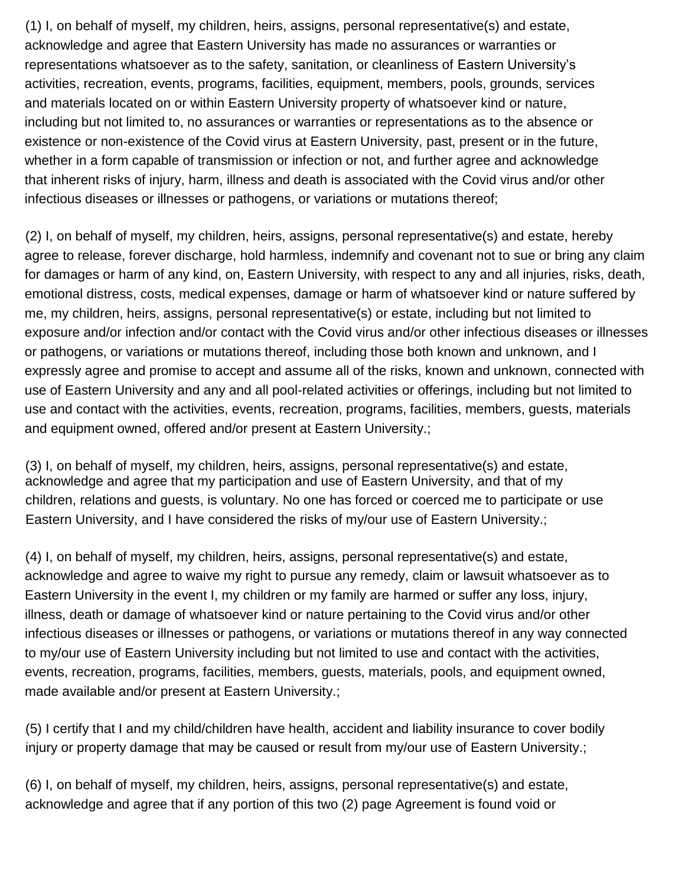(1) I, on behalf of myself, my children, heirs, assigns, personal representative(s) and estate, acknowledge and agree that Eastern University has made no assurances or warranties or representations whatsoever as to the safety, sanitation, or cleanliness of Eastern University's activities, recreation, events, programs, facilities, equipment, members, pools, grounds, services and materials located on or within Eastern University property of whatsoever kind or nature, including but not limited to, no assurances or warranties or representations as to the absence or existence or non-existence of the Covid virus at Eastern University, past, present or in the future, whether in a form capable of transmission or infection or not, and further agree and acknowledge that inherent risks of injury, harm, illness and death is associated with the Covid virus and/or other infectious diseases or illnesses or pathogens, or variations or mutations thereof;

(2) I, on behalf of myself, my children, heirs, assigns, personal representative(s) and estate, hereby agree to release, forever discharge, hold harmless, indemnify and covenant not to sue or bring any claim for damages or harm of any kind, on, Eastern University, with respect to any and all injuries, risks, death, emotional distress, costs, medical expenses, damage or harm of whatsoever kind or nature suffered by me, my children, heirs, assigns, personal representative(s) or estate, including but not limited to exposure and/or infection and/or contact with the Covid virus and/or other infectious diseases or illnesses or pathogens, or variations or mutations thereof, including those both known and unknown, and I expressly agree and promise to accept and assume all of the risks, known and unknown, connected with use of Eastern University and any and all pool-related activities or offerings, including but not limited to use and contact with the activities, events, recreation, programs, facilities, members, guests, materials and equipment owned, offered and/or present at Eastern University.;

(3) I, on behalf of myself, my children, heirs, assigns, personal representative(s) and estate, acknowledge and agree that my participation and use of Eastern University, and that of my children, relations and guests, is voluntary. No one has forced or coerced me to participate or use Eastern University, and I have considered the risks of my/our use of Eastern University.;

(4) I, on behalf of myself, my children, heirs, assigns, personal representative(s) and estate, acknowledge and agree to waive my right to pursue any remedy, claim or lawsuit whatsoever as to Eastern University in the event I, my children or my family are harmed or suffer any loss, injury, illness, death or damage of whatsoever kind or nature pertaining to the Covid virus and/or other infectious diseases or illnesses or pathogens, or variations or mutations thereof in any way connected to my/our use of Eastern University including but not limited to use and contact with the activities, events, recreation, programs, facilities, members, guests, materials, pools, and equipment owned, made available and/or present at Eastern University.;

(5) I certify that I and my child/children have health, accident and liability insurance to cover bodily injury or property damage that may be caused or result from my/our use of Eastern University.;

(6) I, on behalf of myself, my children, heirs, assigns, personal representative(s) and estate, acknowledge and agree that if any portion of this two (2) page Agreement is found void or